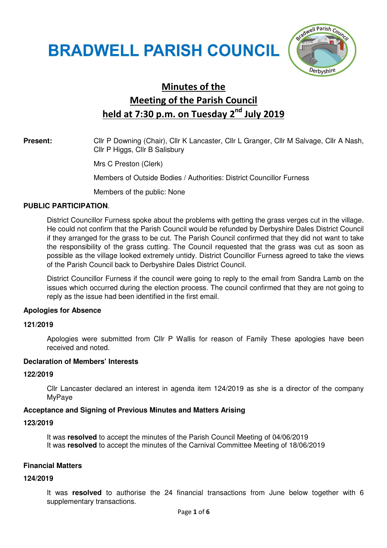# **BRADWELL PARISH COUNCIL**



# Minutes of the Meeting of the Parish Council held at 7:30 p.m. on Tuesday 2<sup>nd</sup> July 2019

# **Present:** Cllr P Downing (Chair), Cllr K Lancaster, Cllr L Granger, Cllr M Salvage, Cllr A Nash, Cllr P Higgs, Cllr B Salisbury

Mrs C Preston (Clerk)

Members of Outside Bodies / Authorities: District Councillor Furness

Members of the public: None

### **PUBLIC PARTICIPATION**.

District Councillor Furness spoke about the problems with getting the grass verges cut in the village. He could not confirm that the Parish Council would be refunded by Derbyshire Dales District Council if they arranged for the grass to be cut. The Parish Council confirmed that they did not want to take the responsibility of the grass cutting. The Council requested that the grass was cut as soon as possible as the village looked extremely untidy. District Councillor Furness agreed to take the views of the Parish Council back to Derbyshire Dales District Council.

District Councillor Furness if the council were going to reply to the email from Sandra Lamb on the issues which occurred during the election process. The council confirmed that they are not going to reply as the issue had been identified in the first email.

#### **Apologies for Absence**

#### **121/2019**

 Apologies were submitted from Cllr P Wallis for reason of Family These apologies have been received and noted.

### **Declaration of Members' Interests**

#### **122/2019**

Cllr Lancaster declared an interest in agenda item 124/2019 as she is a director of the company MyPaye

#### **Acceptance and Signing of Previous Minutes and Matters Arising**

#### **123/2019**

It was **resolved** to accept the minutes of the Parish Council Meeting of 04/06/2019 It was **resolved** to accept the minutes of the Carnival Committee Meeting of 18/06/2019

#### **Financial Matters**

#### **124/2019**

It was **resolved** to authorise the 24 financial transactions from June below together with 6 supplementary transactions.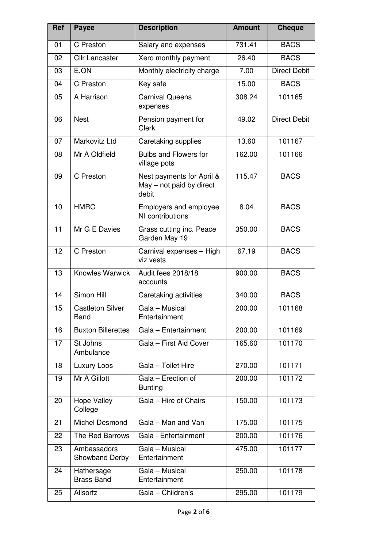| Ref             | <b>Payee</b>                           | <b>Description</b>                                             | <b>Amount</b> | <b>Cheque</b>       |
|-----------------|----------------------------------------|----------------------------------------------------------------|---------------|---------------------|
| 01              | C Preston                              | Salary and expenses                                            | 731.41        | <b>BACS</b>         |
| 02              | <b>Cllr Lancaster</b>                  | Xero monthly payment                                           | 26.40         | <b>BACS</b>         |
| 03              | E.ON                                   | Monthly electricity charge                                     | 7.00          | Direct Debit        |
| 04              | C Preston                              | Key safe                                                       | 15.00         | <b>BACS</b>         |
| 05              | A Harrison                             | <b>Carnival Queens</b><br>expenses                             | 308.24        | 101165              |
| 06              | <b>Nest</b>                            | Pension payment for<br><b>Clerk</b>                            | 49.02         | <b>Direct Debit</b> |
| 07              | Markovitz Ltd                          | Caretaking supplies                                            | 13.60         | 101167              |
| 08              | Mr A Oldfield                          | <b>Bulbs and Flowers for</b><br>village pots                   | 162.00        | 101166              |
| 09              | C Preston                              | Nest payments for April &<br>May - not paid by direct<br>debit | 115.47        | <b>BACS</b>         |
| 10              | <b>HMRC</b>                            | Employers and employee<br>NI contributions                     | 8.04          | <b>BACS</b>         |
| $\overline{11}$ | Mr G E Davies                          | Grass cutting inc. Peace<br>Garden May 19                      | 350.00        | <b>BACS</b>         |
| 12              | C Preston                              | Carnival expenses - High<br>viz vests                          | 67.19         | <b>BACS</b>         |
| 13              | <b>Knowles Warwick</b>                 | Audit fees 2018/18<br>accounts                                 | 900.00        | <b>BACS</b>         |
| 14              | Simon Hill                             | Caretaking activities                                          | 340.00        | <b>BACS</b>         |
| 15              | <b>Castleton Silver</b><br><b>Band</b> | Gala - Musical<br>Entertainment                                | 200.00        | 101168              |
| 16              | <b>Buxton Billerettes</b>              | Gala - Entertainment                                           | 200.00        | 101169              |
| 17              | St Johns<br>Ambulance                  | Gala - First Aid Cover                                         | 165.60        | 101170              |
| 18              | Luxury Loos                            | Gala - Toilet Hire                                             | 270.00        | 101171              |
| 19              | Mr A Gillott                           | Gala - Erection of<br><b>Bunting</b>                           | 200.00        | 101172              |
| 20              | Hope Valley<br>College                 | Gala - Hire of Chairs                                          | 150.00        | 101173              |
| 21              | <b>Michel Desmond</b>                  | Gala - Man and Van                                             | 175.00        | 101175              |
| 22              | The Red Barrows                        | Gala - Entertainment                                           | 200.00        | 101176              |
| 23              | Ambassadors<br>Showband Derby          | Gala - Musical<br>Entertainment                                | 475.00        | 101177              |
| 24              | Hathersage<br><b>Brass Band</b>        | Gala - Musical<br>Entertainment                                | 250.00        | 101178              |
| 25              | Allsortz                               | Gala - Children's                                              | 295.00        | 101179              |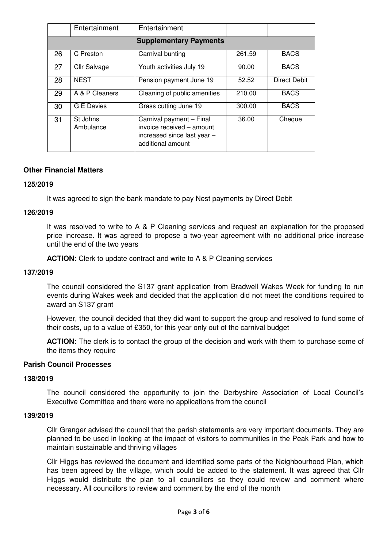|                               | Entertainment         | Entertainment                                                                                             |        |                     |
|-------------------------------|-----------------------|-----------------------------------------------------------------------------------------------------------|--------|---------------------|
| <b>Supplementary Payments</b> |                       |                                                                                                           |        |                     |
| 26                            | C Preston             | Carnival bunting                                                                                          | 261.59 | <b>BACS</b>         |
| 27                            | Cllr Salvage          | Youth activities July 19                                                                                  | 90.00  | <b>BACS</b>         |
| 28                            | <b>NEST</b>           | Pension payment June 19                                                                                   | 52.52  | <b>Direct Debit</b> |
| 29                            | A & P Cleaners        | Cleaning of public amenities                                                                              | 210.00 | <b>BACS</b>         |
| 30                            | G E Davies            | Grass cutting June 19                                                                                     | 300.00 | <b>BACS</b>         |
| 31                            | St Johns<br>Ambulance | Carnival payment - Final<br>invoice received - amount<br>increased since last year -<br>additional amount | 36.00  | Cheque              |

#### **Other Financial Matters**

#### **125/2019**

It was agreed to sign the bank mandate to pay Nest payments by Direct Debit

#### **126/2019**

It was resolved to write to A & P Cleaning services and request an explanation for the proposed price increase. It was agreed to propose a two-year agreement with no additional price increase until the end of the two years

**ACTION:** Clerk to update contract and write to A & P Cleaning services

#### **137/2019**

The council considered the S137 grant application from Bradwell Wakes Week for funding to run events during Wakes week and decided that the application did not meet the conditions required to award an S137 grant

However, the council decided that they did want to support the group and resolved to fund some of their costs, up to a value of £350, for this year only out of the carnival budget

**ACTION:** The clerk is to contact the group of the decision and work with them to purchase some of the items they require

#### **Parish Council Processes**

#### **138/2019**

The council considered the opportunity to join the Derbyshire Association of Local Council's Executive Committee and there were no applications from the council

#### **139/2019**

Cllr Granger advised the council that the parish statements are very important documents. They are planned to be used in looking at the impact of visitors to communities in the Peak Park and how to maintain sustainable and thriving villages

Cllr Higgs has reviewed the document and identified some parts of the Neighbourhood Plan, which has been agreed by the village, which could be added to the statement. It was agreed that Cllr Higgs would distribute the plan to all councillors so they could review and comment where necessary. All councillors to review and comment by the end of the month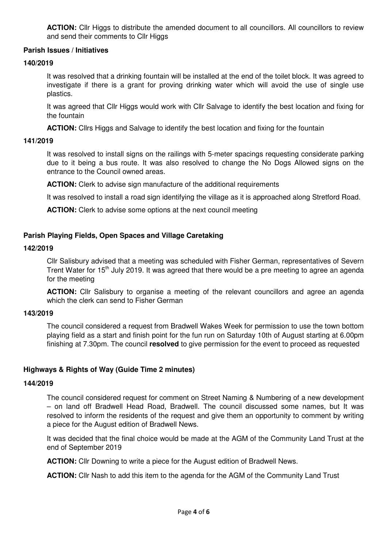**ACTION:** Cllr Higgs to distribute the amended document to all councillors. All councillors to review and send their comments to Cllr Higgs

### **Parish Issues / Initiatives**

#### **140/2019**

It was resolved that a drinking fountain will be installed at the end of the toilet block. It was agreed to investigate if there is a grant for proving drinking water which will avoid the use of single use plastics.

It was agreed that Cllr Higgs would work with Cllr Salvage to identify the best location and fixing for the fountain

**ACTION:** Cllrs Higgs and Salvage to identify the best location and fixing for the fountain

#### **141/2019**

It was resolved to install signs on the railings with 5-meter spacings requesting considerate parking due to it being a bus route. It was also resolved to change the No Dogs Allowed signs on the entrance to the Council owned areas.

**ACTION:** Clerk to advise sign manufacture of the additional requirements

It was resolved to install a road sign identifying the village as it is approached along Stretford Road.

**ACTION:** Clerk to advise some options at the next council meeting

# **Parish Playing Fields, Open Spaces and Village Caretaking**

#### **142/2019**

Cllr Salisbury advised that a meeting was scheduled with Fisher German, representatives of Severn Trent Water for 15<sup>th</sup> July 2019. It was agreed that there would be a pre meeting to agree an agenda for the meeting

**ACTION:** Cllr Salisbury to organise a meeting of the relevant councillors and agree an agenda which the clerk can send to Fisher German

#### **143/2019**

The council considered a request from Bradwell Wakes Week for permission to use the town bottom playing field as a start and finish point for the fun run on Saturday 10th of August starting at 6.00pm finishing at 7.30pm. The council **resolved** to give permission for the event to proceed as requested

#### **Highways & Rights of Way (Guide Time 2 minutes)**

#### **144/2019**

The council considered request for comment on Street Naming & Numbering of a new development – on land off Bradwell Head Road, Bradwell. The council discussed some names, but It was resolved to inform the residents of the request and give them an opportunity to comment by writing a piece for the August edition of Bradwell News.

It was decided that the final choice would be made at the AGM of the Community Land Trust at the end of September 2019

**ACTION:** Cllr Downing to write a piece for the August edition of Bradwell News.

**ACTION:** Cllr Nash to add this item to the agenda for the AGM of the Community Land Trust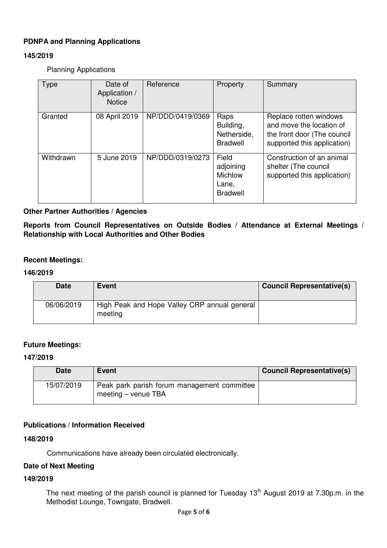# **PDNPA and Planning Applications**

# **145/2019**

Planning Applications

| <b>Type</b> | Date of<br>Application /<br><b>Notice</b> | Reference        | Property                                                         | Summary                                                                                                          |
|-------------|-------------------------------------------|------------------|------------------------------------------------------------------|------------------------------------------------------------------------------------------------------------------|
| Granted     | 08 April 2019                             | NP/DDD/0419/0369 | Raps<br>Building,<br>Netherside,<br><b>Bradwell</b>              | Replace rotten windows<br>and move the location of<br>the front door (The council<br>supported this application) |
| Withdrawn   | 5 June 2019                               | NP/DDD/0319/0273 | Field<br>adjoining<br><b>Michlow</b><br>Lane,<br><b>Bradwell</b> | Construction of an animal<br>shelter (The council<br>supported this application)                                 |

### **Other Partner Authorities / Agencies**

**Reports from Council Representatives on Outside Bodies / Attendance at External Meetings / Relationship with Local Authorities and Other Bodies** 

#### **Recent Meetings:**

#### **146/2019**

| <b>Date</b> | Event                                                   | <b>Council Representative(s)</b> |
|-------------|---------------------------------------------------------|----------------------------------|
| 06/06/2019  | High Peak and Hope Valley CRP annual general<br>meeting |                                  |

# **Future Meetings:**

#### **147/2019**

| <b>Date</b> | <b>Event</b>                                                       | <b>Council Representative(s)</b> |
|-------------|--------------------------------------------------------------------|----------------------------------|
| 15/07/2019  | Peak park parish forum management committee<br>meeting – venue TBA |                                  |

# **Publications / Information Received**

#### **148/2019**

Communications have already been circulated electronically.

# **Date of Next Meeting**

#### **149/2019**

The next meeting of the parish council is planned for Tuesday 13<sup>th</sup> August 2019 at 7.30p.m. in the Methodist Lounge, Towngate, Bradwell.